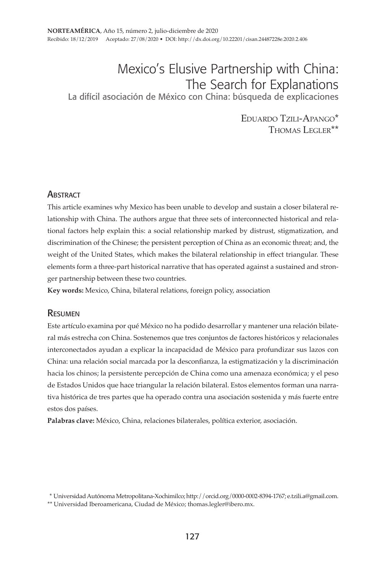# Mexico's Elusive Partnership with China: The Search for Explanations

La difícil asociación de México con China: búsqueda de explicaciones

Eduardo Tzili-Apango\* THOMAS LEGIER\*\*

## **ABSTRACT**

This article examines why Mexico has been unable to develop and sustain a closer bilateral relationship with China. The authors argue that three sets of interconnected historical and relational factors help explain this: a social relationship marked by distrust, stigmatization, and discrimination of the Chinese; the persistent perception of China as an economic threat; and, the weight of the United States, which makes the bilateral relationship in effect triangular. These elements form a three-part historical narrative that has operated against a sustained and stronger partnership between these two countries.

**Key words:** Mexico, China, bilateral relations, foreign policy, association

## Resumen

Este artículo examina por qué México no ha podido desarrollar y mantener una relación bilateral más estrecha con China. Sostenemos que tres conjuntos de factores históricos y relacionales interconectados ayudan a explicar la incapacidad de México para profundizar sus lazos con China: una relación social marcada por la desconfianza, la estigmatización y la discriminación hacia los chinos; la persistente percepción de China como una amenaza económica; y el peso de Estados Unidos que hace triangular la relación bilateral. Estos elementos forman una narrativa histórica de tres partes que ha operado contra una asociación sostenida y más fuerte entre estos dos países.

**Palabras clave:** México, China, relaciones bilaterales, política exterior, asociación.

 <sup>\*</sup> Universidad Autónoma Metropolitana-Xochimilco; http://orcid.org/0000-0002-8394-1767; e.tzili.a@gmail.com.

<sup>\*\*</sup> Universidad Iberoamericana, Ciudad de México; thomas.legler@ibero.mx.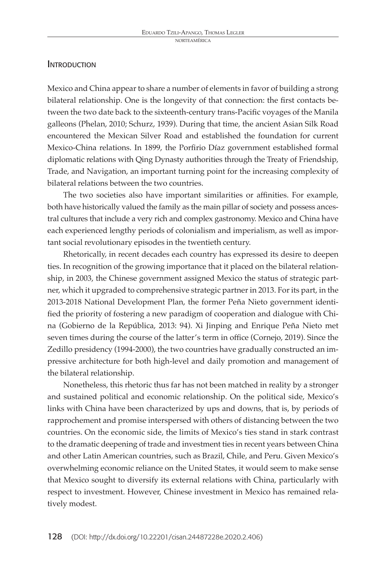## **INTRODUCTION**

Mexico and China appear to share a number of elements in favor of building a strong bilateral relationship. One is the longevity of that connection: the first contacts between the two date back to the sixteenth-century trans-Pacific voyages of the Manila galleons (Phelan, 2010; Schurz, 1939). During that time, the ancient Asian Silk Road encountered the Mexican Silver Road and established the foundation for current Mexico-China relations. In 1899, the Porfirio Díaz government established formal diplomatic relations with Qing Dynasty authorities through the Treaty of Friendship, Trade, and Navigation, an important turning point for the increasing complexity of bilateral relations between the two countries.

The two societies also have important similarities or affinities. For example, both have historically valued the family as the main pillar of society and possess ancestral cultures that include a very rich and complex gastronomy. Mexico and China have each experienced lengthy periods of colonialism and imperialism, as well as important social revolutionary episodes in the twentieth century.

Rhetorically, in recent decades each country has expressed its desire to deepen ties. In recognition of the growing importance that it placed on the bilateral relationship, in 2003, the Chinese government assigned Mexico the status of strategic partner, which it upgraded to comprehensive strategic partner in 2013. For its part, in the 2013-2018 National Development Plan, the former Peña Nieto government identified the priority of fostering a new paradigm of cooperation and dialogue with China (Gobierno de la República, 2013: 94). Xi Jinping and Enrique Peña Nieto met seven times during the course of the latter's term in office (Cornejo, 2019). Since the Zedillo presidency (1994-2000), the two countries have gradually constructed an impressive architecture for both high-level and daily promotion and management of the bilateral relationship.

Nonetheless, this rhetoric thus far has not been matched in reality by a stronger and sustained political and economic relationship. On the political side, Mexico's links with China have been characterized by ups and downs, that is, by periods of rapprochement and promise interspersed with others of distancing between the two countries. On the economic side, the limits of Mexico's ties stand in stark contrast to the dramatic deepening of trade and investment ties in recent years between China and other Latin American countries, such as Brazil, Chile, and Peru. Given Mexico's overwhelming economic reliance on the United States, it would seem to make sense that Mexico sought to diversify its external relations with China, particularly with respect to investment. However, Chinese investment in Mexico has remained relatively modest.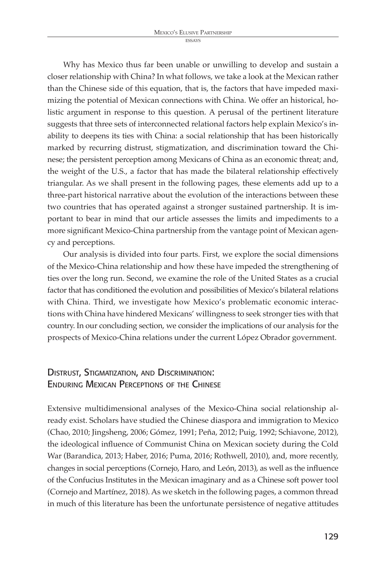Why has Mexico thus far been unable or unwilling to develop and sustain a closer relationship with China? In what follows, we take a look at the Mexican rather than the Chinese side of this equation, that is, the factors that have impeded maximizing the potential of Mexican connections with China. We offer an historical, holistic argument in response to this question. A perusal of the pertinent literature suggests that three sets of interconnected relational factors help explain Mexico's inability to deepens its ties with China: a social relationship that has been historically marked by recurring distrust, stigmatization, and discrimination toward the Chinese; the persistent perception among Mexicans of China as an economic threat; and, the weight of the U.S., a factor that has made the bilateral relationship effectively triangular. As we shall present in the following pages, these elements add up to a three-part historical narrative about the evolution of the interactions between these two countries that has operated against a stronger sustained partnership. It is important to bear in mind that our article assesses the limits and impediments to a more significant Mexico-China partnership from the vantage point of Mexican agency and perceptions.

Our analysis is divided into four parts. First, we explore the social dimensions of the Mexico-China relationship and how these have impeded the strengthening of ties over the long run. Second, we examine the role of the United States as a crucial factor that has conditioned the evolution and possibilities of Mexico's bilateral relations with China. Third, we investigate how Mexico's problematic economic interactions with China have hindered Mexicans' willingness to seek stronger ties with that country. In our concluding section, we consider the implications of our analysis for the prospects of Mexico-China relations under the current López Obrador government.

# Distrust, Stigmatization, and Discrimination: Enduring Mexican Perceptions of the Chinese

Extensive multidimensional analyses of the Mexico-China social relationship already exist. Scholars have studied the Chinese diaspora and immigration to Mexico (Chao, 2010; Jingsheng, 2006; Gómez, 1991; Peña, 2012; Puig, 1992; Schiavone, 2012), the ideological influence of Communist China on Mexican society during the Cold War (Barandica, 2013; Haber, 2016; Puma, 2016; Rothwell, 2010), and, more recently, changes in social perceptions (Cornejo, Haro, and León, 2013), as well as the influence of the Confucius Institutes in the Mexican imaginary and as a Chinese soft power tool (Cornejo and Martínez, 2018). As we sketch in the following pages, a common thread in much of this literature has been the unfortunate persistence of negative attitudes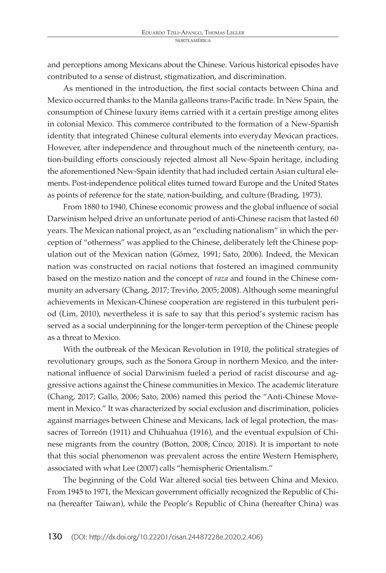and perceptions among Mexicans about the Chinese. Various historical episodes have contributed to a sense of distrust, stigmatization, and discrimination.

As mentioned in the introduction, the first social contacts between China and Mexico occurred thanks to the Manila galleons trans-Pacific trade. In New Spain, the consumption of Chinese luxury items carried with it a certain prestige among elites in colonial Mexico. This commerce contributed to the formation of a New-Spanish identity that integrated Chinese cultural elements into everyday Mexican practices. However, after independence and throughout much of the nineteenth century, nation-building efforts consciously rejected almost all New-Spain heritage, including the aforementioned New-Spain identity that had included certain Asian cultural elements. Post-independence political elites turned toward Europe and the United States as points of reference for the state, nation-building, and culture (Brading, 1973).

From 1880 to 1940, Chinese economic prowess and the global influence of social Darwinism helped drive an unfortunate period of anti-Chinese racism that lasted 60 years. The Mexican national project, as an "excluding nationalism" in which the perception of "otherness" was applied to the Chinese, deliberately left the Chinese population out of the Mexican nation (Gómez, 1991; Sato, 2006). Indeed, the Mexican nation was constructed on racial notions that fostered an imagined community based on the mestizo nation and the concept of *raza* and found in the Chinese community an adversary (Chang, 2017; Treviño, 2005; 2008). Although some meaningful achievements in Mexican-Chinese cooperation are registered in this turbulent period (Lim, 2010), nevertheless it is safe to say that this period's systemic racism has served as a social underpinning for the longer-term perception of the Chinese people as a threat to Mexico.

With the outbreak of the Mexican Revolution in 1910, the political strategies of revolutionary groups, such as the Sonora Group in northern Mexico, and the international influence of social Darwinism fueled a period of racist discourse and aggressive actions against the Chinese communities in Mexico. The academic literature (Chang, 2017; Gallo, 2006; Sato, 2006) named this period the "Anti-Chinese Movement in Mexico." It was characterized by social exclusion and discrimination, policies against marriages between Chinese and Mexicans, lack of legal protection, the massacres of Torreón (1911) and Chihuahua (1916), and the eventual expulsion of Chinese migrants from the country (Botton, 2008; Cinco, 2018). It is important to note that this social phenomenon was prevalent across the entire Western Hemisphere, associated with what Lee (2007) calls "hemispheric Orientalism."

The beginning of the Cold War altered social ties between China and Mexico. From 1945 to 1971, the Mexican government officially recognized the Republic of China (hereafter Taiwan), while the People's Republic of China (hereafter China) was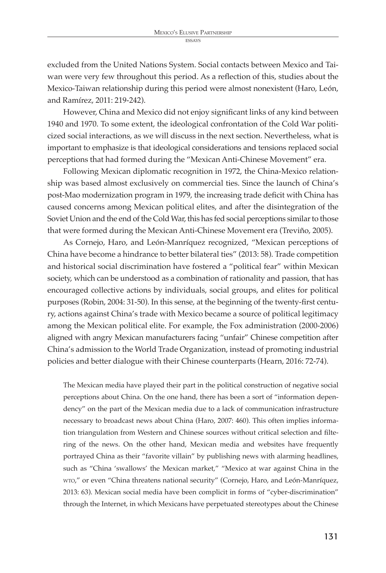excluded from the United Nations System. Social contacts between Mexico and Taiwan were very few throughout this period. As a reflection of this, studies about the Mexico-Taiwan relationship during this period were almost nonexistent (Haro, León, and Ramírez, 2011: 219-242).

However, China and Mexico did not enjoy significant links of any kind between 1940 and 1970. To some extent, the ideological confrontation of the Cold War politicized social interactions, as we will discuss in the next section. Nevertheless, what is important to emphasize is that ideological considerations and tensions replaced social perceptions that had formed during the "Mexican Anti-Chinese Movement" era.

Following Mexican diplomatic recognition in 1972, the China-Mexico relationship was based almost exclusively on commercial ties. Since the launch of China's post-Mao modernization program in 1979, the increasing trade deficit with China has caused concerns among Mexican political elites, and after the disintegration of the Soviet Union and the end of the Cold War, this has fed social perceptions similar to those that were formed during the Mexican Anti-Chinese Movement era (Treviño, 2005).

As Cornejo, Haro, and León-Manríquez recognized, "Mexican perceptions of China have become a hindrance to better bilateral ties" (2013: 58). Trade competition and historical social discrimination have fostered a "political fear" within Mexican society, which can be understood as a combination of rationality and passion, that has encouraged collective actions by individuals, social groups, and elites for political purposes (Robin, 2004: 31-50). In this sense, at the beginning of the twenty-first century, actions against China's trade with Mexico became a source of political legitimacy among the Mexican political elite. For example, the Fox administration (2000-2006) aligned with angry Mexican manufacturers facing "unfair" Chinese competition after China's admission to the World Trade Organization, instead of promoting industrial policies and better dialogue with their Chinese counterparts (Hearn, 2016: 72-74).

The Mexican media have played their part in the political construction of negative social perceptions about China. On the one hand, there has been a sort of "information dependency" on the part of the Mexican media due to a lack of communication infrastructure necessary to broadcast news about China (Haro, 2007: 460). This often implies information triangulation from Western and Chinese sources without critical selection and filtering of the news. On the other hand, Mexican media and websites have frequently portrayed China as their "favorite villain" by publishing news with alarming headlines, such as "China 'swallows' the Mexican market," "Mexico at war against China in the wto," or even "China threatens national security" (Cornejo, Haro, and León-Manríquez, 2013: 63). Mexican social media have been complicit in forms of "cyber-discrimination" through the Internet, in which Mexicans have perpetuated stereotypes about the Chinese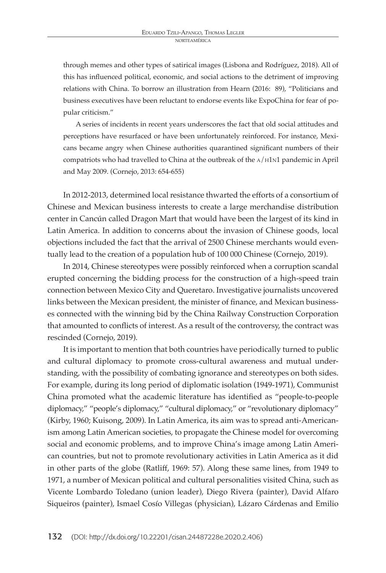through memes and other types of satirical images (Lisbona and Rodríguez, 2018). All of this has influenced political, economic, and social actions to the detriment of improving relations with China. To borrow an illustration from Hearn (2016: 89), "Politicians and business executives have been reluctant to endorse events like ExpoChina for fear of popular criticism."

A series of incidents in recent years underscores the fact that old social attitudes and perceptions have resurfaced or have been unfortunately reinforced. For instance, Mexicans became angry when Chinese authorities quarantined significant numbers of their compatriots who had travelled to China at the outbreak of the A/H1N1 pandemic in April and May 2009. (Cornejo, 2013: 654-655)

In 2012-2013, determined local resistance thwarted the efforts of a consortium of Chinese and Mexican business interests to create a large merchandise distribution center in Cancún called Dragon Mart that would have been the largest of its kind in Latin America. In addition to concerns about the invasion of Chinese goods, local objections included the fact that the arrival of 2500 Chinese merchants would eventually lead to the creation of a population hub of 100 000 Chinese (Cornejo, 2019).

In 2014, Chinese stereotypes were possibly reinforced when a corruption scandal erupted concerning the bidding process for the construction of a high-speed train connection between Mexico City and Queretaro. Investigative journalists uncovered links between the Mexican president, the minister of finance, and Mexican businesses connected with the winning bid by the China Railway Construction Corporation that amounted to conflicts of interest. As a result of the controversy, the contract was rescinded (Cornejo, 2019).

It is important to mention that both countries have periodically turned to public and cultural diplomacy to promote cross-cultural awareness and mutual understanding, with the possibility of combating ignorance and stereotypes on both sides. For example, during its long period of diplomatic isolation (1949-1971), Communist China promoted what the academic literature has identified as "people-to-people diplomacy," "people's diplomacy," "cultural diplomacy," or "revolutionary diplomacy" (Kirby, 1960; Kuisong, 2009). In Latin America, its aim was to spread anti-Americanism among Latin American societies, to propagate the Chinese model for overcoming social and economic problems, and to improve China's image among Latin American countries, but not to promote revolutionary activities in Latin America as it did in other parts of the globe (Ratliff, 1969: 57). Along these same lines, from 1949 to 1971, a number of Mexican political and cultural personalities visited China, such as Vicente Lombardo Toledano (union leader), Diego Rivera (painter), David Alfaro Siqueiros (painter), Ismael Cosío Villegas (physician), Lázaro Cárdenas and Emilio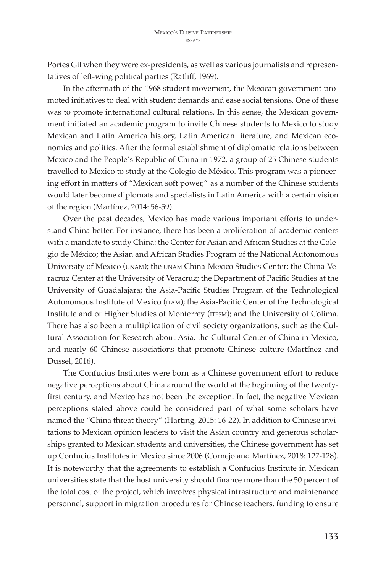Portes Gil when they were ex-presidents, as well as various journalists and representatives of left-wing political parties (Ratliff, 1969).

In the aftermath of the 1968 student movement, the Mexican government promoted initiatives to deal with student demands and ease social tensions. One of these was to promote international cultural relations. In this sense, the Mexican government initiated an academic program to invite Chinese students to Mexico to study Mexican and Latin America history, Latin American literature, and Mexican economics and politics. After the formal establishment of diplomatic relations between Mexico and the People's Republic of China in 1972, a group of 25 Chinese students travelled to Mexico to study at the Colegio de México. This program was a pioneering effort in matters of "Mexican soft power," as a number of the Chinese students would later become diplomats and specialists in Latin America with a certain vision of the region (Martínez, 2014: 56-59).

Over the past decades, Mexico has made various important efforts to understand China better. For instance, there has been a proliferation of academic centers with a mandate to study China: the Center for Asian and African Studies at the Colegio de México; the Asian and African Studies Program of the National Autonomous University of Mexico (unam); the unam China-Mexico Studies Center; the China-Veracruz Center at the University of Veracruz; the Department of Pacific Studies at the University of Guadalajara; the Asia-Pacific Studies Program of the Technological Autonomous Institute of Mexico (itam); the Asia-Pacific Center of the Technological Institute and of Higher Studies of Monterrey (itesm); and the University of Colima. There has also been a multiplication of civil society organizations, such as the Cultural Association for Research about Asia, the Cultural Center of China in Mexico, and nearly 60 Chinese associations that promote Chinese culture (Martínez and Dussel, 2016).

The Confucius Institutes were born as a Chinese government effort to reduce negative perceptions about China around the world at the beginning of the twentyfirst century, and Mexico has not been the exception. In fact, the negative Mexican perceptions stated above could be considered part of what some scholars have named the "China threat theory" (Harting, 2015: 16-22). In addition to Chinese invitations to Mexican opinion leaders to visit the Asian country and generous scholarships granted to Mexican students and universities, the Chinese government has set up Confucius Institutes in Mexico since 2006 (Cornejo and Martínez, 2018: 127-128). It is noteworthy that the agreements to establish a Confucius Institute in Mexican universities state that the host university should finance more than the 50 percent of the total cost of the project, which involves physical infrastructure and maintenance personnel, support in migration procedures for Chinese teachers, funding to ensure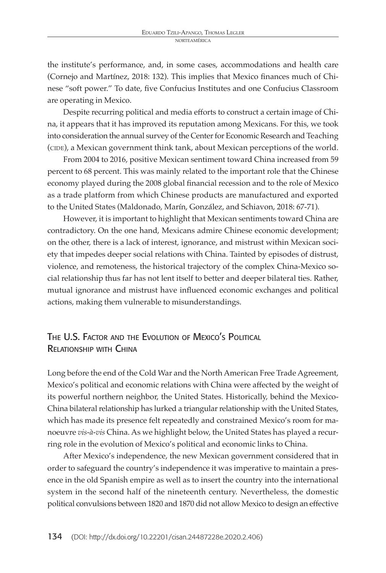the institute's performance, and, in some cases, accommodations and health care (Cornejo and Martínez, 2018: 132). This implies that Mexico finances much of Chinese "soft power." To date, five Confucius Institutes and one Confucius Classroom are operating in Mexico.

Despite recurring political and media efforts to construct a certain image of China, it appears that it has improved its reputation among Mexicans. For this, we took into consideration the annual survey of the Center for Economic Research and Teaching (CIDE), a Mexican government think tank, about Mexican perceptions of the world.

From 2004 to 2016, positive Mexican sentiment toward China increased from 59 percent to 68 percent. This was mainly related to the important role that the Chinese economy played during the 2008 global financial recession and to the role of Mexico as a trade platform from which Chinese products are manufactured and exported to the United States (Maldonado, Marín, González, and Schiavon, 2018: 67-71).

However, it is important to highlight that Mexican sentiments toward China are contradictory. On the one hand, Mexicans admire Chinese economic development; on the other, there is a lack of interest, ignorance, and mistrust within Mexican society that impedes deeper social relations with China. Tainted by episodes of distrust, violence, and remoteness, the historical trajectory of the complex China-Mexico social relationship thus far has not lent itself to better and deeper bilateral ties. Rather, mutual ignorance and mistrust have influenced economic exchanges and political actions, making them vulnerable to misunderstandings.

# The U.S. Factor and the Evolution of Mexico's Political Relationship with China

Long before the end of the Cold War and the North American Free Trade Agreement, Mexico's political and economic relations with China were affected by the weight of its powerful northern neighbor, the United States. Historically, behind the Mexico-China bilateral relationship has lurked a triangular relationship with the United States, which has made its presence felt repeatedly and constrained Mexico's room for manoeuvre *vis-à-vis* China. As we highlight below, the United States has played a recurring role in the evolution of Mexico's political and economic links to China.

After Mexico's independence, the new Mexican government considered that in order to safeguard the country's independence it was imperative to maintain a presence in the old Spanish empire as well as to insert the country into the international system in the second half of the nineteenth century. Nevertheless, the domestic political convulsions between 1820 and 1870 did not allow Mexico to design an effective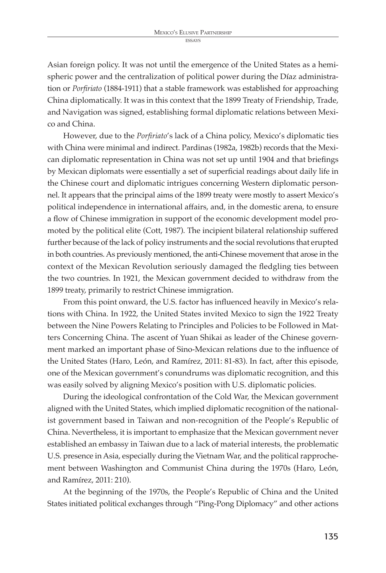Asian foreign policy. It was not until the emergence of the United States as a hemispheric power and the centralization of political power during the Díaz administration or *Porfiriato* (1884-1911) that a stable framework was established for approaching China diplomatically. It was in this context that the 1899 Treaty of Friendship, Trade, and Navigation was signed, establishing formal diplomatic relations between Mexico and China.

However, due to the *Porfiriato*'s lack of a China policy, Mexico's diplomatic ties with China were minimal and indirect. Pardinas (1982a, 1982b) records that the Mexican diplomatic representation in China was not set up until 1904 and that briefings by Mexican diplomats were essentially a set of superficial readings about daily life in the Chinese court and diplomatic intrigues concerning Western diplomatic personnel. It appears that the principal aims of the 1899 treaty were mostly to assert Mexico's political independence in international affairs, and, in the domestic arena, to ensure a flow of Chinese immigration in support of the economic development model promoted by the political elite (Cott, 1987). The incipient bilateral relationship suffered further because of the lack of policy instruments and the social revolutions that erupted in both countries. As previously mentioned, the anti-Chinese movement that arose in the context of the Mexican Revolution seriously damaged the fledgling ties between the two countries. In 1921, the Mexican government decided to withdraw from the 1899 treaty, primarily to restrict Chinese immigration.

From this point onward, the U.S. factor has influenced heavily in Mexico's relations with China. In 1922, the United States invited Mexico to sign the 1922 Treaty between the Nine Powers Relating to Principles and Policies to be Followed in Matters Concerning China. The ascent of Yuan Shikai as leader of the Chinese government marked an important phase of Sino-Mexican relations due to the influence of the United States (Haro, León, and Ramírez, 2011: 81-83). In fact, after this episode, one of the Mexican government's conundrums was diplomatic recognition, and this was easily solved by aligning Mexico's position with U.S. diplomatic policies.

During the ideological confrontation of the Cold War, the Mexican government aligned with the United States, which implied diplomatic recognition of the nationalist government based in Taiwan and non-recognition of the People's Republic of China. Nevertheless, it is important to emphasize that the Mexican government never established an embassy in Taiwan due to a lack of material interests, the problematic U.S. presence in Asia, especially during the Vietnam War, and the political rapprochement between Washington and Communist China during the 1970s (Haro, León, and Ramírez, 2011: 210).

At the beginning of the 1970s, the People's Republic of China and the United States initiated political exchanges through "Ping-Pong Diplomacy" and other actions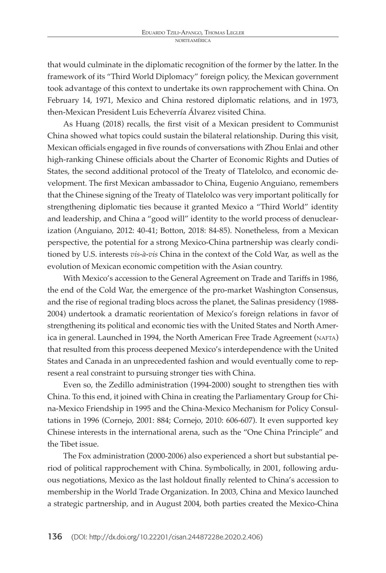that would culminate in the diplomatic recognition of the former by the latter. In the framework of its "Third World Diplomacy" foreign policy, the Mexican government took advantage of this context to undertake its own rapprochement with China. On February 14, 1971, Mexico and China restored diplomatic relations, and in 1973, then-Mexican President Luis Echeverría Álvarez visited China.

As Huang (2018) recalls, the first visit of a Mexican president to Communist China showed what topics could sustain the bilateral relationship. During this visit, Mexican officials engaged in five rounds of conversations with Zhou Enlai and other high-ranking Chinese officials about the Charter of Economic Rights and Duties of States, the second additional protocol of the Treaty of Tlatelolco, and economic development. The first Mexican ambassador to China, Eugenio Anguiano, remembers that the Chinese signing of the Treaty of Tlatelolco was very important politically for strengthening diplomatic ties because it granted Mexico a "Third World" identity and leadership, and China a "good will" identity to the world process of denuclearization (Anguiano, 2012: 40-41; Botton, 2018: 84-85). Nonetheless, from a Mexican perspective, the potential for a strong Mexico-China partnership was clearly conditioned by U.S. interests *vis-à-vis* China in the context of the Cold War, as well as the evolution of Mexican economic competition with the Asian country.

With Mexico's accession to the General Agreement on Trade and Tariffs in 1986, the end of the Cold War, the emergence of the pro-market Washington Consensus, and the rise of regional trading blocs across the planet, the Salinas presidency (1988- 2004) undertook a dramatic reorientation of Mexico's foreign relations in favor of strengthening its political and economic ties with the United States and North America in general. Launched in 1994, the North American Free Trade Agreement (nafta) that resulted from this process deepened Mexico's interdependence with the United States and Canada in an unprecedented fashion and would eventually come to represent a real constraint to pursuing stronger ties with China.

Even so, the Zedillo administration (1994-2000) sought to strengthen ties with China. To this end, it joined with China in creating the Parliamentary Group for China-Mexico Friendship in 1995 and the China-Mexico Mechanism for Policy Consultations in 1996 (Cornejo, 2001: 884; Cornejo, 2010: 606-607). It even supported key Chinese interests in the international arena, such as the "One China Principle" and the Tibet issue.

The Fox administration (2000-2006) also experienced a short but substantial period of political rapprochement with China. Symbolically, in 2001, following arduous negotiations, Mexico as the last holdout finally relented to China's accession to membership in the World Trade Organization. In 2003, China and Mexico launched a strategic partnership, and in August 2004, both parties created the Mexico-China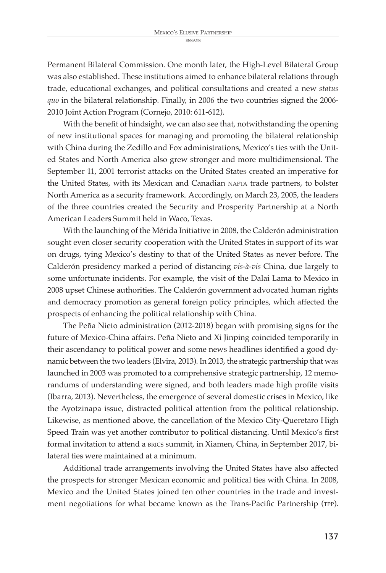Permanent Bilateral Commission. One month later, the High-Level Bilateral Group was also established. These institutions aimed to enhance bilateral relations through trade, educational exchanges, and political consultations and created a new *status quo* in the bilateral relationship. Finally, in 2006 the two countries signed the 2006- 2010 Joint Action Program (Cornejo, 2010: 611-612).

With the benefit of hindsight, we can also see that, notwithstanding the opening of new institutional spaces for managing and promoting the bilateral relationship with China during the Zedillo and Fox administrations, Mexico's ties with the United States and North America also grew stronger and more multidimensional. The September 11, 2001 terrorist attacks on the United States created an imperative for the United States, with its Mexican and Canadian nafta trade partners, to bolster North America as a security framework. Accordingly, on March 23, 2005, the leaders of the three countries created the Security and Prosperity Partnership at a North American Leaders Summit held in Waco, Texas.

With the launching of the Mérida Initiative in 2008, the Calderón administration sought even closer security cooperation with the United States in support of its war on drugs, tying Mexico's destiny to that of the United States as never before. The Calderón presidency marked a period of distancing *vis-à-vis* China, due largely to some unfortunate incidents. For example, the visit of the Dalai Lama to Mexico in 2008 upset Chinese authorities. The Calderón government advocated human rights and democracy promotion as general foreign policy principles, which affected the prospects of enhancing the political relationship with China.

The Peña Nieto administration (2012-2018) began with promising signs for the future of Mexico-China affairs. Peña Nieto and Xi Jinping coincided temporarily in their ascendancy to political power and some news headlines identified a good dynamic between the two leaders (Elvira, 2013). In 2013, the strategic partnership that was launched in 2003 was promoted to a comprehensive strategic partnership, 12 memorandums of understanding were signed, and both leaders made high profile visits (Ibarra, 2013). Nevertheless, the emergence of several domestic crises in Mexico, like the Ayotzinapa issue, distracted political attention from the political relationship. Likewise, as mentioned above, the cancellation of the Mexico City-Queretaro High Speed Train was yet another contributor to political distancing. Until Mexico's first formal invitation to attend a brics summit, in Xiamen, China, in September 2017, bilateral ties were maintained at a minimum.

Additional trade arrangements involving the United States have also affected the prospects for stronger Mexican economic and political ties with China. In 2008, Mexico and the United States joined ten other countries in the trade and investment negotiations for what became known as the Trans-Pacific Partnership (tpp).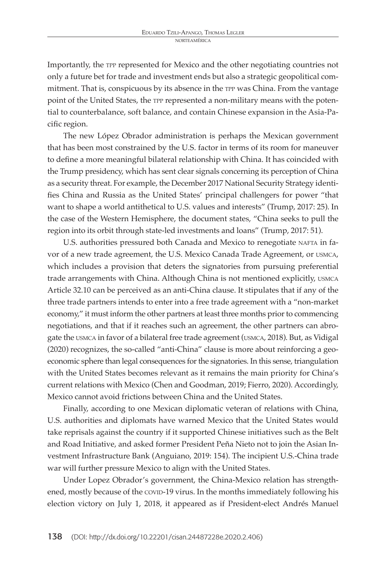Importantly, the tpp represented for Mexico and the other negotiating countries not only a future bet for trade and investment ends but also a strategic geopolitical commitment. That is, conspicuous by its absence in the tpp was China. From the vantage point of the United States, the tpp represented a non-military means with the potential to counterbalance, soft balance, and contain Chinese expansion in the Asia-Pacific region.

The new López Obrador administration is perhaps the Mexican government that has been most constrained by the U.S. factor in terms of its room for maneuver to define a more meaningful bilateral relationship with China. It has coincided with the Trump presidency, which has sent clear signals concerning its perception of China as a security threat. For example, the December 2017 National Security Strategy identifies China and Russia as the United States' principal challengers for power "that want to shape a world antithetical to U.S. values and interests" (Trump, 2017: 25). In the case of the Western Hemisphere, the document states, "China seeks to pull the region into its orbit through state-led investments and loans" (Trump, 2017: 51).

U.S. authorities pressured both Canada and Mexico to renegotiate NAFTA in favor of a new trade agreement, the U.S. Mexico Canada Trade Agreement, or usmca, which includes a provision that deters the signatories from pursuing preferential trade arrangements with China. Although China is not mentioned explicitly, usmca Article 32.10 can be perceived as an anti-China clause. It stipulates that if any of the three trade partners intends to enter into a free trade agreement with a "non-market economy," it must inform the other partners at least three months prior to commencing negotiations, and that if it reaches such an agreement, the other partners can abrogate the usmca in favor of a bilateral free trade agreement (usmca, 2018). But, as Vidigal (2020) recognizes, the so-called "anti-China" clause is more about reinforcing a geoeconomic sphere than legal consequences for the signatories. In this sense, triangulation with the United States becomes relevant as it remains the main priority for China's current relations with Mexico (Chen and Goodman, 2019; Fierro, 2020). Accordingly, Mexico cannot avoid frictions between China and the United States.

Finally, according to one Mexican diplomatic veteran of relations with China, U.S. authorities and diplomats have warned Mexico that the United States would take reprisals against the country if it supported Chinese initiatives such as the Belt and Road Initiative, and asked former President Peña Nieto not to join the Asian Investment Infrastructure Bank (Anguiano, 2019: 154). The incipient U.S.-China trade war will further pressure Mexico to align with the United States.

Under Lopez Obrador's government, the China-Mexico relation has strengthened, mostly because of the covid-19 virus. In the months immediately following his election victory on July 1, 2018, it appeared as if President-elect Andrés Manuel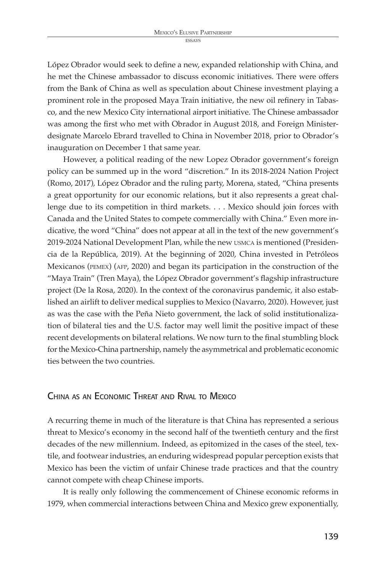López Obrador would seek to define a new, expanded relationship with China, and he met the Chinese ambassador to discuss economic initiatives. There were offers from the Bank of China as well as speculation about Chinese investment playing a prominent role in the proposed Maya Train initiative, the new oil refinery in Tabasco, and the new Mexico City international airport initiative. The Chinese ambassador was among the first who met with Obrador in August 2018, and Foreign Ministerdesignate Marcelo Ebrard travelled to China in November 2018, prior to Obrador's inauguration on December 1 that same year.

However, a political reading of the new Lopez Obrador government's foreign policy can be summed up in the word "discretion." In its 2018-2024 Nation Project (Romo, 2017), López Obrador and the ruling party, Morena, stated, "China presents a great opportunity for our economic relations, but it also represents a great challenge due to its competition in third markets. . . . Mexico should join forces with Canada and the United States to compete commercially with China." Even more indicative, the word "China" does not appear at all in the text of the new government's 2019-2024 National Development Plan, while the new usmca is mentioned (Presidencia de la República, 2019). At the beginning of 2020, China invested in Petróleos Mexicanos (pemex) (afp, 2020) and began its participation in the construction of the "Maya Train" (Tren Maya), the López Obrador government's flagship infrastructure project (De la Rosa, 2020). In the context of the coronavirus pandemic, it also established an airlift to deliver medical supplies to Mexico (Navarro, 2020). However, just as was the case with the Peña Nieto government, the lack of solid institutionalization of bilateral ties and the U.S. factor may well limit the positive impact of these recent developments on bilateral relations. We now turn to the final stumbling block for the Mexico-China partnership, namely the asymmetrical and problematic economic ties between the two countries.

# China as an Economic Threat and Rival to Mexico

A recurring theme in much of the literature is that China has represented a serious threat to Mexico's economy in the second half of the twentieth century and the first decades of the new millennium. Indeed, as epitomized in the cases of the steel, textile, and footwear industries, an enduring widespread popular perception exists that Mexico has been the victim of unfair Chinese trade practices and that the country cannot compete with cheap Chinese imports.

It is really only following the commencement of Chinese economic reforms in 1979, when commercial interactions between China and Mexico grew exponentially,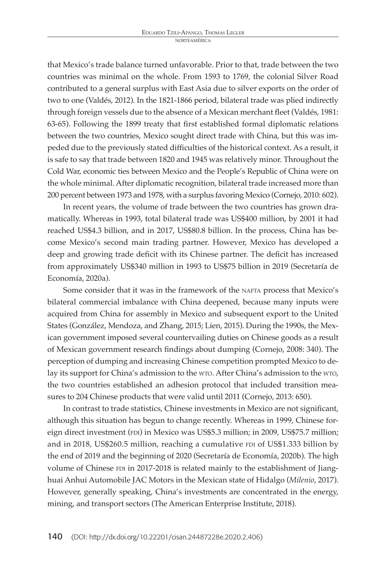that Mexico's trade balance turned unfavorable. Prior to that, trade between the two countries was minimal on the whole. From 1593 to 1769, the colonial Silver Road contributed to a general surplus with East Asia due to silver exports on the order of two to one (Valdés, 2012). In the 1821-1866 period, bilateral trade was plied indirectly through foreign vessels due to the absence of a Mexican merchant fleet (Valdés, 1981: 63-65). Following the 1899 treaty that first established formal diplomatic relations between the two countries, Mexico sought direct trade with China, but this was impeded due to the previously stated difficulties of the historical context. As a result, it is safe to say that trade between 1820 and 1945 was relatively minor. Throughout the Cold War, economic ties between Mexico and the People's Republic of China were on the whole minimal. After diplomatic recognition, bilateral trade increased more than 200 percent between 1973 and 1978, with a surplus favoring Mexico (Cornejo, 2010: 602).

In recent years, the volume of trade between the two countries has grown dramatically. Whereas in 1993, total bilateral trade was US\$400 million, by 2001 it had reached US\$4.3 billion, and in 2017, US\$80.8 billion. In the process, China has become Mexico's second main trading partner. However, Mexico has developed a deep and growing trade deficit with its Chinese partner. The deficit has increased from approximately US\$340 million in 1993 to US\$75 billion in 2019 (Secretaría de Economía, 2020a).

Some consider that it was in the framework of the NAFTA process that Mexico's bilateral commercial imbalance with China deepened, because many inputs were acquired from China for assembly in Mexico and subsequent export to the United States (González, Mendoza, and Zhang, 2015; Lien, 2015). During the 1990s, the Mexican government imposed several countervailing duties on Chinese goods as a result of Mexican government research findings about dumping (Cornejo, 2008: 340). The perception of dumping and increasing Chinese competition prompted Mexico to delay its support for China's admission to the wto. After China's admission to the wto, the two countries established an adhesion protocol that included transition measures to 204 Chinese products that were valid until 2011 (Cornejo, 2013: 650).

In contrast to trade statistics, Chinese investments in Mexico are not significant, although this situation has begun to change recently. Whereas in 1999, Chinese foreign direct investment (FDI) in Mexico was US\$5.3 million; in 2009, US\$75.7 million; and in 2018, US\$260.5 million, reaching a cumulative FDI of US\$1.333 billion by the end of 2019 and the beginning of 2020 (Secretaría de Economía, 2020b). The high volume of Chinese FDI in 2017-2018 is related mainly to the establishment of Jianghuai Anhui Automobile JAC Motors in the Mexican state of Hidalgo (*Milenio*, 2017). However, generally speaking, China's investments are concentrated in the energy, mining, and transport sectors (The American Enterprise Institute, 2018).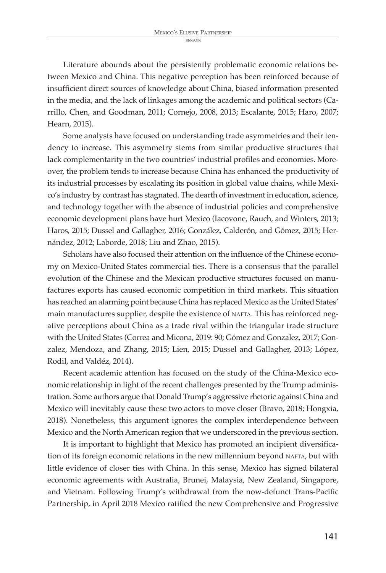Literature abounds about the persistently problematic economic relations between Mexico and China. This negative perception has been reinforced because of insufficient direct sources of knowledge about China, biased information presented in the media, and the lack of linkages among the academic and political sectors (Carrillo, Chen, and Goodman, 2011; Cornejo, 2008, 2013; Escalante, 2015; Haro, 2007; Hearn, 2015).

Some analysts have focused on understanding trade asymmetries and their tendency to increase. This asymmetry stems from similar productive structures that lack complementarity in the two countries' industrial profiles and economies. Moreover, the problem tends to increase because China has enhanced the productivity of its industrial processes by escalating its position in global value chains, while Mexico's industry by contrast has stagnated. The dearth of investment in education, science, and technology together with the absence of industrial policies and comprehensive economic development plans have hurt Mexico (Iacovone, Rauch, and Winters, 2013; Haros, 2015; Dussel and Gallagher, 2016; González, Calderón, and Gómez, 2015; Hernández, 2012; Laborde, 2018; Liu and Zhao, 2015).

Scholars have also focused their attention on the influence of the Chinese economy on Mexico-United States commercial ties. There is a consensus that the parallel evolution of the Chinese and the Mexican productive structures focused on manufactures exports has caused economic competition in third markets. This situation has reached an alarming point because China has replaced Mexico as the United States' main manufactures supplier, despite the existence of NAFTA. This has reinforced negative perceptions about China as a trade rival within the triangular trade structure with the United States (Correa and Micona, 2019: 90; Gómez and Gonzalez, 2017; Gonzalez, Mendoza, and Zhang, 2015; Lien, 2015; Dussel and Gallagher, 2013; López, Rodil, and Valdéz, 2014).

Recent academic attention has focused on the study of the China-Mexico economic relationship in light of the recent challenges presented by the Trump administration. Some authors argue that Donald Trump's aggressive rhetoric against China and Mexico will inevitably cause these two actors to move closer (Bravo, 2018; Hongxia, 2018). Nonetheless, this argument ignores the complex interdependence between Mexico and the North American region that we underscored in the previous section.

It is important to highlight that Mexico has promoted an incipient diversification of its foreign economic relations in the new millennium beyond NAFTA, but with little evidence of closer ties with China. In this sense, Mexico has signed bilateral economic agreements with Australia, Brunei, Malaysia, New Zealand, Singapore, and Vietnam. Following Trump's withdrawal from the now-defunct Trans-Pacific Partnership, in April 2018 Mexico ratified the new Comprehensive and Progressive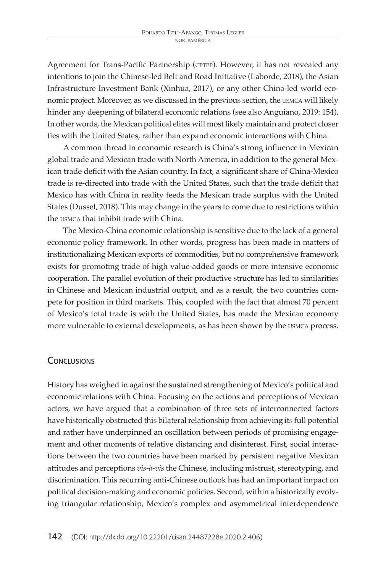Agreement for Trans-Pacific Partnership (CPTPP). However, it has not revealed any intentions to join the Chinese-led Belt and Road Initiative (Laborde, 2018), the Asian Infrastructure Investment Bank (Xinhua, 2017), or any other China-led world economic project. Moreover, as we discussed in the previous section, the usmca will likely hinder any deepening of bilateral economic relations (see also Anguiano, 2019: 154). In other words, the Mexican political elites will most likely maintain and protect closer ties with the United States, rather than expand economic interactions with China.

A common thread in economic research is China's strong influence in Mexican global trade and Mexican trade with North America, in addition to the general Mexican trade deficit with the Asian country. In fact, a significant share of China-Mexico trade is re-directed into trade with the United States, such that the trade deficit that Mexico has with China in reality feeds the Mexican trade surplus with the United States (Dussel, 2018). This may change in the years to come due to restrictions within the usmca that inhibit trade with China.

The Mexico-China economic relationship is sensitive due to the lack of a general economic policy framework. In other words, progress has been made in matters of institutionalizing Mexican exports of commodities, but no comprehensive framework exists for promoting trade of high value-added goods or more intensive economic cooperation. The parallel evolution of their productive structure has led to similarities in Chinese and Mexican industrial output, and as a result, the two countries compete for position in third markets. This, coupled with the fact that almost 70 percent of Mexico's total trade is with the United States, has made the Mexican economy more vulnerable to external developments, as has been shown by the usmca process.

## **CONCLUSIONS**

History has weighed in against the sustained strengthening of Mexico's political and economic relations with China. Focusing on the actions and perceptions of Mexican actors, we have argued that a combination of three sets of interconnected factors have historically obstructed this bilateral relationship from achieving its full potential and rather have underpinned an oscillation between periods of promising engagement and other moments of relative distancing and disinterest. First, social interactions between the two countries have been marked by persistent negative Mexican attitudes and perceptions *vis-à-vis* the Chinese, including mistrust, stereotyping, and discrimination. This recurring anti-Chinese outlook has had an important impact on political decision-making and economic policies. Second, within a historically evolving triangular relationship, Mexico's complex and asymmetrical interdependence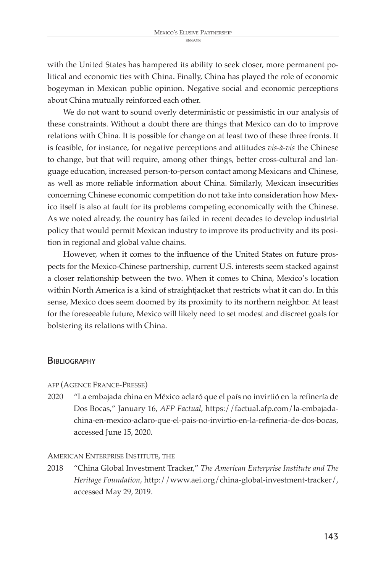with the United States has hampered its ability to seek closer, more permanent political and economic ties with China. Finally, China has played the role of economic bogeyman in Mexican public opinion. Negative social and economic perceptions about China mutually reinforced each other.

We do not want to sound overly deterministic or pessimistic in our analysis of these constraints. Without a doubt there are things that Mexico can do to improve relations with China. It is possible for change on at least two of these three fronts. It is feasible, for instance, for negative perceptions and attitudes *vis-à-vis* the Chinese to change, but that will require, among other things, better cross-cultural and language education, increased person-to-person contact among Mexicans and Chinese, as well as more reliable information about China. Similarly, Mexican insecurities concerning Chinese economic competition do not take into consideration how Mexico itself is also at fault for its problems competing economically with the Chinese. As we noted already, the country has failed in recent decades to develop industrial policy that would permit Mexican industry to improve its productivity and its position in regional and global value chains.

However, when it comes to the influence of the United States on future prospects for the Mexico-Chinese partnership, current U.S. interests seem stacked against a closer relationship between the two. When it comes to China, Mexico's location within North America is a kind of straightjacket that restricts what it can do. In this sense, Mexico does seem doomed by its proximity to its northern neighbor. At least for the foreseeable future, Mexico will likely need to set modest and discreet goals for bolstering its relations with China.

#### **BIBLIOGRAPHY**

- AFP (AGENCE FRANCE-PRESSE)
- 2020 "La embajada china en México aclaró que el país no invirtió en la refinería de Dos Bocas," January 16, *AFP Factual,* https://factual.afp.com/la-embajadachina-en-mexico-aclaro-que-el-pais-no-invirtio-en-la-refineria-de-dos-bocas, accessed June 15, 2020.

#### AMERICAN ENTERPRISE INSTITUTE, THE

2018 "China Global Investment Tracker," *The American Enterprise Institute and The Heritage Foundation,* http://www.aei.org/china-global-investment-tracker/, accessed May 29, 2019.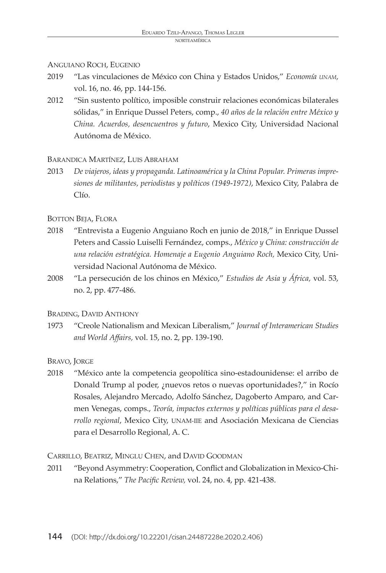#### ANGUIANO ROCH, EUGENIO

- 2019 "Las vinculaciones de México con China y Estados Unidos," *Economía unam,*  vol. 16, no. 46, pp. 144-156.
- 2012 "Sin sustento político, imposible construir relaciones económicas bilaterales sólidas," in Enrique Dussel Peters, comp., *40 años de la relación entre México y China. Acuerdos, desencuentros y futuro*, Mexico City, Universidad Nacional Autónoma de México.

#### BARANDICA MARTÍNEZ, LUIS ABRAHAM

2013 *De viajeros, ideas y propaganda. Latinoamérica y la China Popular. Primeras impresiones de militantes, periodistas y políticos (1949-1972)*, Mexico City, Palabra de Clío.

## BOTTON BEJA, FLORA

- 2018 "Entrevista a Eugenio Anguiano Roch en junio de 2018," in Enrique Dussel Peters and Cassio Luiselli Fernández, comps., *México y China: construcción de una relación estratégica. Homenaje a Eugenio Anguiano Roch,* Mexico City, Universidad Nacional Autónoma de México.
- 2008 "La persecución de los chinos en México," *Estudios de Asia y África,* vol. 53, no. 2, pp. 477-486.

#### BRADING, DAVID ANTHONY

1973 "Creole Nationalism and Mexican Liberalism," *Journal of Interamerican Studies and World Affairs,* vol. 15, no. 2, pp. 139-190.

## BRAVO, JORGE

2018 "México ante la competencia geopolítica sino-estadounidense: el arribo de Donald Trump al poder, ¿nuevos retos o nuevas oportunidades?," in Rocío Rosales, Alejandro Mercado, Adolfo Sánchez, Dagoberto Amparo, and Carmen Venegas, comps., *Teoría, impactos externos y políticas públicas para el desarrollo regional*, Mexico City, UNAM-IIE and Asociación Mexicana de Ciencias para el Desarrollo Regional, A. C.

## CARRILLO, BEATRIZ, MINGLU CHEN, and DAVID GOODMAN

2011 "Beyond Asymmetry: Cooperation, Conflict and Globalization in Mexico-China Relations," *The Pacific Review,* vol. 24, no. 4, pp. 421-438.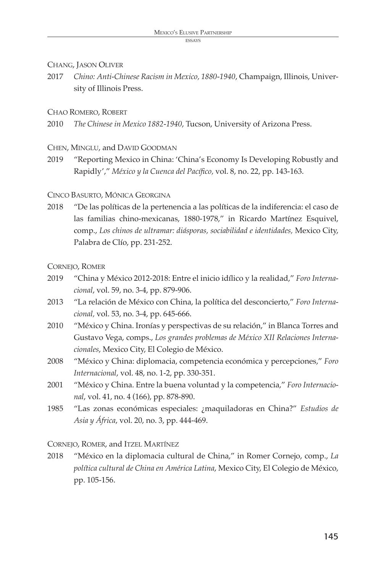## CHANG, JASON OLIVER

2017 *Chino: Anti-Chinese Racism in Mexico, 1880-1940*, Champaign, Illinois, University of Illinois Press.

## CHAO ROMERO, ROBERT

2010 *The Chinese in Mexico 1882-1940*, Tucson, University of Arizona Press.

## CHEN, MINGLU, and DAVID GOODMAN

2019 "Reporting Mexico in China: 'China's Economy Is Developing Robustly and Rapidly'," *México y la Cuenca del Pacífico,* vol. 8, no. 22, pp. 143-163.

## CINCO BASURTO, MÓNICA GEORGINA

2018 "De las políticas de la pertenencia a las políticas de la indiferencia: el caso de las familias chino-mexicanas, 1880-1978," in Ricardo Martínez Esquivel, comp., *Los chinos de ultramar: diásporas, sociabilidad e identidades,* Mexico City, Palabra de Clío, pp. 231-252.

## CORNEJO, ROMER

- 2019 "China y México 2012-2018: Entre el inicio idílico y la realidad," *Foro Internacional*, vol. 59, no. 3-4, pp. 879-906.
- 2013 "La relación de México con China, la política del desconcierto," *Foro Internacional,* vol. 53, no. 3-4, pp. 645-666.
- 2010 "México y China. Ironías y perspectivas de su relación," in Blanca Torres and Gustavo Vega, comps., *Los grandes problemas de México XII Relaciones Internacionales*, Mexico City, El Colegio de México.
- 2008 "México y China: diplomacia, competencia económica y percepciones," *Foro Internacional*, vol. 48, no. 1-2, pp. 330-351.
- 2001 "México y China. Entre la buena voluntad y la competencia," *Foro Internacional*, vol. 41, no. 4 (166), pp. 878-890.
- 1985 "Las zonas económicas especiales: ¿maquiladoras en China?" *Estudios de Asia y África*, vol. 20, no. 3, pp. 444-469.

CORNEJO, ROMER, and ITZEL MARTÍNEZ

2018 "México en la diplomacia cultural de China," in Romer Cornejo, comp., *La política cultural de China en América Latina*, Mexico City, El Colegio de México, pp. 105-156.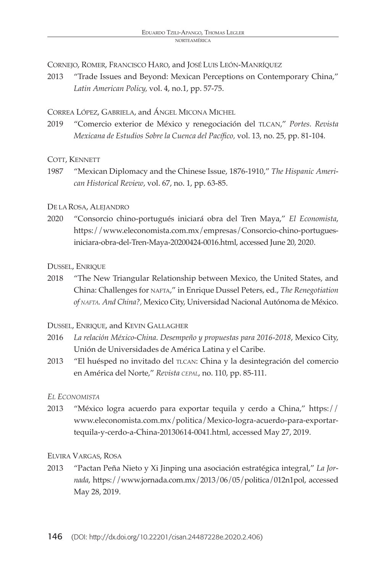CORNEJO, ROMER, FRANCISCO HARO, and JOSÉ LUIS LEÓN-MANRÍQUEZ

2013 "Trade Issues and Beyond: Mexican Perceptions on Contemporary China," *Latin American Policy,* vol. 4, no.1, pp. 57-75.

CORREA LÓPEZ, GABRIELA, and ÁNGEL MICONA MICHEL

2019 "Comercio exterior de México y renegociación del TLCAN," *Portes. Revista Mexicana de Estudios Sobre la Cuenca del Pacífico,* vol. 13, no. 25, pp. 81-104.

## COTT, KENNETT

1987 "Mexican Diplomacy and the Chinese Issue, 1876-1910," *The Hispanic American Historical Review*, vol. 67, no. 1, pp. 63-85.

## DE LA ROSA, ALEJANDRO

2020 "Consorcio chino-portugués iniciará obra del Tren Maya," *El Economista*, https://www.eleconomista.com.mx/empresas/Consorcio-chino-portuguesiniciara-obra-del-Tren-Maya-20200424-0016.html, accessed June 20, 2020.

## DUSSEL, ENRIQUE

2018 "The New Triangular Relationship between Mexico, the United States, and China: Challenges for nafta," in Enrique Dussel Peters, ed., *The Renegotiation of nafta. And China?,* Mexico City, Universidad Nacional Autónoma de México.

## DUSSEL, ENRIQUE, and KEVIN GALLAGHER

- 2016 *La relación México-China*. *Desempeño y propuestas para 2016-2018*, Mexico City, Unión de Universidades de América Latina y el Caribe.
- 2013 "El huésped no invitado del TLCAN: China y la desintegración del comercio en América del Norte," *Revista cepal*, no. 110, pp. 85-111.

## *EL ECONOMISTA*

2013 "México logra acuerdo para exportar tequila y cerdo a China," https:// www.eleconomista.com.mx/politica/Mexico-logra-acuerdo-para-exportartequila-y-cerdo-a-China-20130614-0041.html, accessed May 27, 2019.

## ELVIRA VARGAS, ROSA

2013 "Pactan Peña Nieto y Xi Jinping una asociación estratégica integral," *La Jornada*, https://www.jornada.com.mx/2013/06/05/politica/012n1pol, accessed May 28, 2019.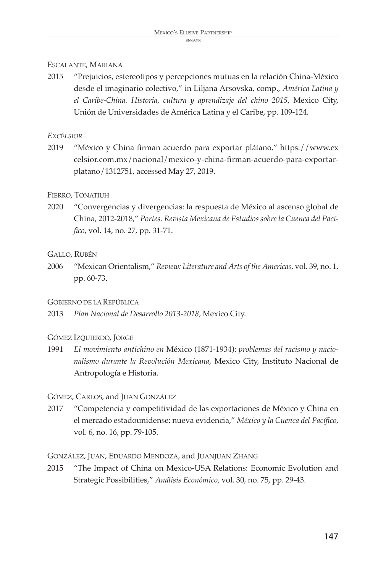## ESCALANTE, MARIANA

2015 "Prejuicios, estereotipos y percepciones mutuas en la relación China-México desde el imaginario colectivo," in Liljana Arsovska, comp., *América Latina y el Caribe-China. Historia, cultura y aprendizaje del chino 2015*, Mexico City, Unión de Universidades de América Latina y el Caribe, pp. 109-124.

*EXC*É*LSIOR*

2019 "México y China firman acuerdo para exportar plátano," https://www.ex celsior.com.mx/nacional/mexico-y-china-firman-acuerdo-para-exportarplatano/1312751, accessed May 27, 2019.

#### FIERRO, TONATIUH

2020 "Convergencias y divergencias: la respuesta de México al ascenso global de China, 2012-2018," *Portes. Revista Mexicana de Estudios sobre la Cuenca del Pacífico*, vol. 14, no. 27, pp. 31-71.

#### GALLO, RUBÉN

2006 "Mexican Orientalism," *Review: Literature and Arts of the Americas,* vol. 39, no. 1, pp. 60-73.

#### GOBIERNO DE LA REPÚBLICA

2013 *Plan Nacional de Desarrollo 2013-2018*, Mexico City.

## GÓMEZ IZQUIERDO, JORGE

1991 *El movimiento antichino en* México (1871-1934): *problemas del racismo y nacionalismo durante la Revolución Mexicana*, Mexico City, Instituto Nacional de Antropología e Historia.

## GÓMEZ, CARLOS, and JUAN GONZÁLEZ

2017 "Competencia y competitividad de las exportaciones de México y China en el mercado estadounidense: nueva evidencia," *México y la Cuenca del Pacífico*, vol. 6, no. 16, pp. 79-105.

#### GONZÁLEZ, JUAN, EDUARDO MENDOZA, and JUANJUAN ZHANG

2015 "The Impact of China on Mexico-USA Relations: Economic Evolution and Strategic Possibilities," *Análisis Económico,* vol. 30, no. 75, pp. 29-43.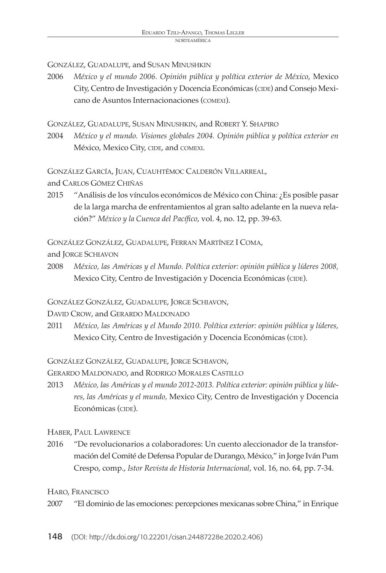GONZÁLEZ, GUADALUPE, and SUSAN MINUSHKIN

2006 *México y el mundo 2006. Opinión pública y política exterior de México*, Mexico City, Centro de Investigación y Docencia Económicas (CIDE) and Consejo Mexicano de Asuntos Internacionaciones (comexi).

GONZÁLEZ, GUADALUPE, SUSAN MINUSHKIN, and ROBERT Y. SHAPIRO

2004 *México y el mundo. Visiones globales 2004. Opinión pública y política exterior en* México, Mexico City, CIDE, and COMEXI.

GONZÁLEZ GARCÍA, JUAN, CUAUHTÉMOC CALDERÓN VILLARREAL,

and CARLOS GÓMEZ CHIÑAS

2015 "Análisis de los vínculos económicos de México con China: ¿Es posible pasar de la larga marcha de enfrentamientos al gran salto adelante en la nueva relación?" *México y la Cuenca del Pacífico*, vol. 4, no. 12, pp. 39-63.

GONZÁLEZ GONZÁLEZ, GUADALUPE, FERRAN MARTÍNEZ I COMA,

and JORGE SCHIAVON

2008 *México, las Américas y el Mundo. Política exterior: opinión pública y líderes 2008,* Mexico City, Centro de Investigación y Docencia Económicas (CIDE).

GONZÁLEZ GONZÁLEZ, GUADALUPE, JORGE SCHIAVON,

DAVID CROW, and GERARDO MALDONADO

2011 *México, las Américas y el Mundo 2010. Política exterior: opinión pública y líderes,*  Mexico City, Centro de Investigación y Docencia Económicas (CIDE).

GONZÁLEZ GONZÁLEZ, GUADALUPE, JORGE SCHIAVON,

GERARDO MALDONADO, and RODRIGO MORALES CASTILLO

2013 *México, las Américas y el mundo 2012-2013. Política exterior: opinión pública y líderes, las Américas y el mundo,* Mexico City, Centro de Investigación y Docencia Económicas (CIDE).

HABER, PAUL LAWRENCE

2016 "De revolucionarios a colaboradores: Un cuento aleccionador de la transformación del Comité de Defensa Popular de Durango, México," in Jorge Iván Pum Crespo, comp., *Istor Revista de Historia Internacional*, vol. 16, no. 64, pp. 7-34.

HARO, FRANCISCO

2007 "El dominio de las emociones: percepciones mexicanas sobre China," in Enrique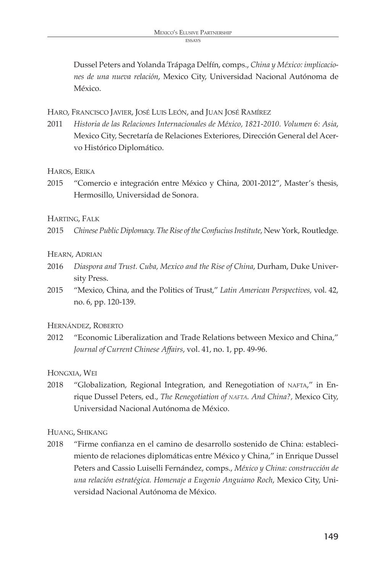Dussel Peters and Yolanda Trápaga Delfín, comps., *China y México: implicaciones de una nueva relación*, Mexico City, Universidad Nacional Autónoma de México.

HARO, FRANCISCO JAVIER, JOSÉ LUIS LEÓN, and JUAN JOSÉ RAMÍREZ

2011 *Historia de las Relaciones Internacionales de México, 1821-2010. Volumen 6: Asia*, Mexico City, Secretaría de Relaciones Exteriores, Dirección General del Acervo Histórico Diplomático.

#### HAROS, ERIKA

2015 "Comercio e integración entre México y China, 2001-2012", Master's thesis, Hermosillo, Universidad de Sonora.

#### HARTING, FALK

2015 *Chinese Public Diplomacy. The Rise of the Confucius Institute*, New York, Routledge.

#### HEARN, ADRIAN

- 2016 *Diaspora and Trust. Cuba, Mexico and the Rise of China*, Durham, Duke University Press.
- 2015 "Mexico, China, and the Politics of Trust," *Latin American Perspectives,* vol. 42, no. 6, pp. 120-139.

#### HERNÁNDEZ, ROBERTO

2012 "Economic Liberalization and Trade Relations between Mexico and China," *Journal of Current Chinese Affairs*, vol. 41, no. 1, pp. 49-96.

#### HONGXIA, WEI

2018 "Globalization, Regional Integration, and Renegotiation of NAFTA," in Enrique Dussel Peters, ed., *The Renegotiation of nafta. And China?,* Mexico City, Universidad Nacional Autónoma de México.

HUANG, SHIKANG

2018 "Firme confianza en el camino de desarrollo sostenido de China: establecimiento de relaciones diplomáticas entre México y China," in Enrique Dussel Peters and Cassio Luiselli Fernández, comps., *México y China: construcción de una relación estratégica. Homenaje a Eugenio Anguiano Roch*, Mexico City, Universidad Nacional Autónoma de México.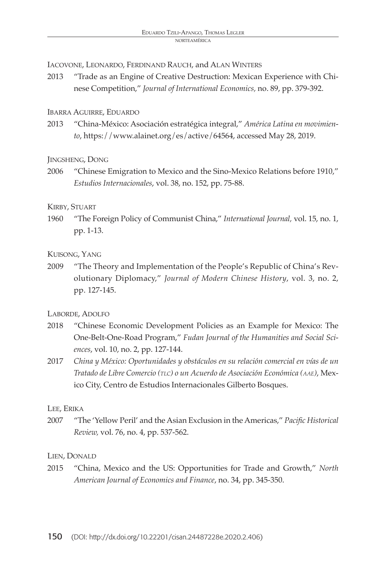IACOVONE, LEONARDO, FERDINAND RAUCH, and ALAN WINTERS

2013 "Trade as an Engine of Creative Destruction: Mexican Experience with Chinese Competition," *Journal of International Economics,* no. 89, pp. 379-392.

#### IBARRA AGUIRRE, EDUARDO

2013 "China-México: Asociación estratégica integral," *América Latina en movimiento*, https://www.alainet.org/es/active/64564, accessed May 28, 2019.

#### JINGSHENG, DONG

2006 "Chinese Emigration to Mexico and the Sino-Mexico Relations before 1910," *Estudios Internacionales*, vol. 38, no. 152, pp. 75-88.

#### KIRBY, STUART

1960 "The Foreign Policy of Communist China," *International Journal,* vol. 15, no. 1, pp. 1-13.

## KUISONG, YANG

2009 "The Theory and Implementation of the People's Republic of China's Revolutionary Diplomacy," *Journal of Modern Chinese History*, vol. 3, no. 2, pp. 127-145.

## LABORDE, ADOLFO

- 2018 "Chinese Economic Development Policies as an Example for Mexico: The One-Belt-One-Road Program," *Fudan Journal of the Humanities and Social Sciences*, vol. 10, no. 2, pp. 127-144.
- 2017 *China y México: Oportunidades y obstáculos en su relación comercial en vías de un Tratado de Libre Comercio (tlc) o un Acuerdo de Asociación Económica (aae)*, Mexico City, Centro de Estudios Internacionales Gilberto Bosques.

## LEE, ERIKA

2007 "The 'Yellow Peril' and the Asian Exclusion in the Americas," *Pacific Historical Review,* vol. 76, no. 4, pp. 537-562.

## LIEN, DONALD

2015 "China, Mexico and the US: Opportunities for Trade and Growth," *North American Journal of Economics and Finance*, no. 34, pp. 345-350.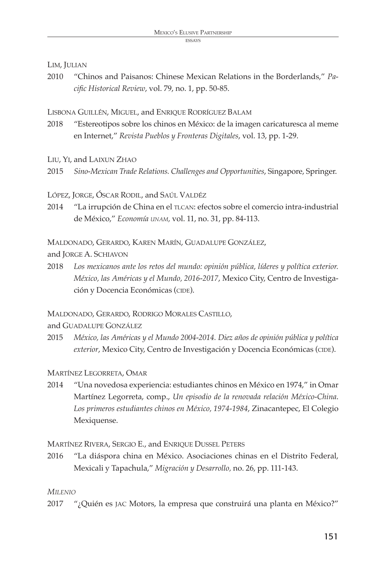#### LIM, JULIAN

2010 "Chinos and Paisanos: Chinese Mexican Relations in the Borderlands," *Pacific Historical Review*, vol. 79, no. 1, pp. 50-85.

#### LISBONA GUILLÉN, MIGUEL, and ENRIQUE RODRÍGUEZ BALAM

- 2018 "Estereotipos sobre los chinos en México: de la imagen caricaturesca al meme en Internet," *Revista Pueblos y Fronteras Digitales*, vol. 13, pp. 1-29.
- LIU, YI, and LAIXUN ZHAO
- 2015 *Sino-Mexican Trade Relations. Challenges and Opportunities*, Singapore, Springer.

#### LÓPEZ, JORGE, ÓSCAR RODIL, and SAÚL VALDÉZ

2014 "La irrupción de China en el TLCAN: efectos sobre el comercio intra-industrial de México," *Economía unam,* vol. 11, no. 31, pp. 84-113.

MALDONADO, GERARDO, KAREN MARÍN, GUADALUPE GONZÁLEZ,

and JORGE A. SCHIAVON

2018 *Los mexicanos ante los retos del mundo: opinión pública, líderes y política exterior. México, las Américas y el Mundo, 2016-2017*, Mexico City, Centro de Investigación y Docencia Económicas (CIDE).

MALDONADO, GERARDO, RODRIGO MORALES CASTILLO,

and GUADALUPE GONZÁLEZ

2015 *México, las Américas y el Mundo 2004-2014. Diez años de opinión pública y política exterior*, Mexico City, Centro de Investigación y Docencia Económicas (CIDE).

## MARTÍNEZ LEGORRETA, OMAR

2014 "Una novedosa experiencia: estudiantes chinos en México en 1974," in Omar Martínez Legorreta, comp., *Un episodio de la renovada relación México-China*. *Los primeros estudiantes chinos en México, 1974-1984*, Zinacantepec, El Colegio Mexiquense.

MARTÍNEZ RIVERA, SERGIO E., and ENRIQUE DUSSEL PETERS

2016 "La diáspora china en México. Asociaciones chinas en el Distrito Federal, Mexicali y Tapachula," *Migración y Desarrollo,* no. 26, pp. 111-143.

#### *MILENIO*

2017 "¿Quién es JAC Motors, la empresa que construirá una planta en México?"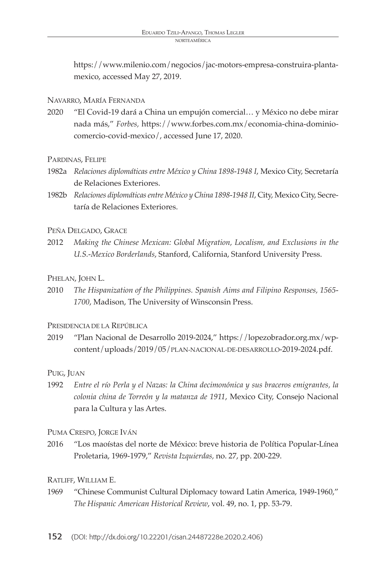https://www.milenio.com/negocios/jac-motors-empresa-construira-plantamexico, accessed May 27, 2019.

### NAVARRO, MARÍA FERNANDA

2020 "El Covid-19 dará a China un empujón comercial… y México no debe mirar nada más," *Forbes,* https://www.forbes.com.mx/economia-china-dominiocomercio-covid-mexico/, accessed June 17, 2020.

#### PARDINAS, FELIPE

- 1982a *Relaciones diplomáticas entre México y China 1898-1948 I*, Mexico City, Secretaría de Relaciones Exteriores.
- 1982b *Relaciones diplomáticas entre México y China 1898-1948 II*, City, Mexico City, Secretaría de Relaciones Exteriores.

#### PEÑA DELGADO, GRACE

2012 *Making the Chinese Mexican: Global Migration, Localism, and Exclusions in the U.S.-Mexico Borderlands*, Stanford, California, Stanford University Press.

## PHELAN, JOHN L.

2010 *The Hispanization of the Philippines. Spanish Aims and Filipino Responses, 1565- 1700*, Madison, The University of Winsconsin Press.

## PRESIDENCIA DE LA REPÚBLICA

2019 "Plan Nacional de Desarrollo 2019-2024," https://lopezobrador.org.mx/wpcontent/uploads/2019/05/PLAN-NACIONAL-DE-DESARROLLO-2019-2024.pdf.

## PUIG, JUAN

1992 *Entre el río Perla y el Nazas: la China decimonónica y sus braceros emigrantes, la colonia china de Torreón y la matanza de 1911*, Mexico City, Consejo Nacional para la Cultura y las Artes.

PUMA CRESPO, JORGE IVÁN

2016 "Los maoístas del norte de México: breve historia de Política Popular-Línea Proletaria, 1969-1979," *Revista Izquierdas,* no. 27, pp. 200-229.

## RATLIFF, WILLIAM E.

1969 "Chinese Communist Cultural Diplomacy toward Latin America, 1949-1960," *The Hispanic American Historical Review*, vol. 49, no. 1, pp. 53-79.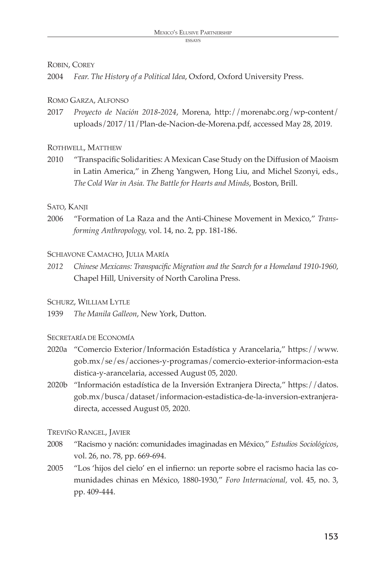#### ROBIN, COREY

2004 *Fear. The History of a Political Idea*, Oxford, Oxford University Press.

### ROMO GARZA, ALFONSO

2017 *Proyecto de Nación 2018-2024*, Morena, http://morenabc.org/wp-content/ uploads/2017/11/Plan-de-Nacion-de-Morena.pdf, accessed May 28, 2019.

#### ROTHWELL, MATTHEW

2010 "Transpacific Solidarities: A Mexican Case Study on the Diffusion of Maoism in Latin America," in Zheng Yangwen, Hong Liu, and Michel Szonyi, eds., *The Cold War in Asia. The Battle for Hearts and Minds*, Boston, Brill.

#### SATO, KANJI

2006 "Formation of La Raza and the Anti-Chinese Movement in Mexico," *Transforming Anthropology,* vol. 14, no. 2, pp. 181-186.

#### SCHIAVONE CAMACHO, JULIA MARÍA

*2012 Chinese Mexicans: Transpacific Migration and the Search for a Homeland 1910-1960*, Chapel Hill, University of North Carolina Press.

## SCHURZ, WILLIAM LYTLE

1939 *The Manila Galleon*, New York, Dutton.

#### SECRETARÍA DE ECONOMÍA

- 2020a "Comercio Exterior/Información Estadística y Arancelaria," https://www. gob.mx/se/es/acciones-y-programas/comercio-exterior-informacion-esta distica-y-arancelaria, accessed August 05, 2020.
- 2020b "Información estadística de la Inversión Extranjera Directa," https://datos. gob.mx/busca/dataset/informacion-estadistica-de-la-inversion-extranjeradirecta, accessed August 05, 2020.

## TREVIÑO RANGEL, JAVIER

- 2008 "Racismo y nación: comunidades imaginadas en México," *Estudios Sociológicos*, vol. 26, no. 78, pp. 669-694.
- 2005 "Los 'hijos del cielo' en el infierno: un reporte sobre el racismo hacia las comunidades chinas en México, 1880-1930," *Foro Internacional,* vol. 45, no. 3, pp. 409-444.